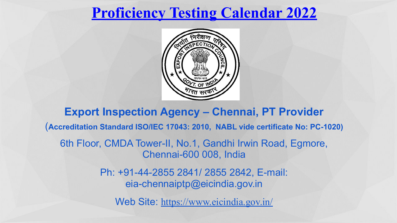# **Proficiency Testing Calendar 2022**



**Export Inspection Agency – Chennai, PT Provider** (**Accreditation Standard ISO/IEC 17043: 2010, NABL vide certificate No: PC-1020)** 6th Floor, CMDA Tower-II, No.1, Gandhi Irwin Road, Egmore, Chennai-600 008, India Ph: +91-44-2855 2841/ 2855 2842, E-mail: eia-chennaiptp@eicindia.gov.in

Web Site: https://www.eicindia.gov.in/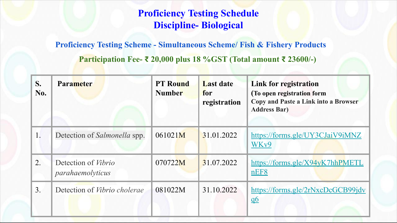### **Proficiency Testing Schedule Discipline- Biological**

#### **Proficiency Testing Scheme - Simultaneous Scheme/ Fish & Fishery Products**

 **Participation Fee- ₹ 20,000 plus 18 %GST (Total amount ₹ 23600/-)**

| S.<br>No.      | <b>Parameter</b>                        | <b>PT</b> Round<br><b>Number</b> | <b>Last date</b><br>for<br>registration | <b>Link for registration</b><br>(To open registration form<br><b>Copy and Paste a Link into a Browser</b><br><b>Address Bar)</b> |
|----------------|-----------------------------------------|----------------------------------|-----------------------------------------|----------------------------------------------------------------------------------------------------------------------------------|
| 1.             | Detection of <i>Salmonella</i> spp.     | 061021M                          | 31.01.2022                              | https://forms.gle/UY3CJaiV9iMNZ<br>WK <sub>v</sub> 9                                                                             |
| 2.             | Detection of Vibrio<br>parahaemolyticus | 070722M                          | 31.07.2022                              | https://forms.gle/X94yK7hhPMETL<br>nEF8                                                                                          |
| 3 <sub>1</sub> | Detection of <i>Vibrio cholerae</i>     | 081022M                          | 31.10.2022                              | $\frac{https://forms.gle/2rNxcDCGCB99idy}{https://forms.gle/2rNxcDCGCB99idy}$<br>$\underline{06}$                                |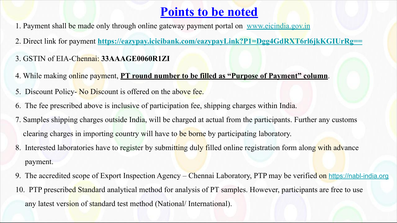### **Points to be noted**

- 1. Payment shall be made only through online gateway payment portal on www.eicindia.gov.in
- 2. Direct link for payment **https://eazypay.icicibank.com/eazypayLink?P1=Dgg4GdRXT6rl6jkKGIUrRg==**
- 3. GSTIN of EIA-Chennai: **33AAAGE0060R1ZI**
- 4. While making online payment, **PT round number to be filled as "Purpose of Payment" column**.
- 5. Discount Policy-No Discount is offered on the above fee.
- 6. The fee prescribed above is inclusive of participation fee, shipping charges within India.
- 7. Samples shipping charges outside India, will be charged at actual from the participants. Further any customs clearing charges in importing country will have to be borne by participating laboratory.
- 8. Interested laboratories have to register by submitting duly filled online registration form along with advance payment.
- 9. The accredited scope of Export Inspection Agency Chennai Laboratory, PTP may be verified on https://nabl-india.org
- 10. PTP prescribed Standard analytical method for analysis of PT samples. However, participants are free to use any latest version of standard test method (National/ International).